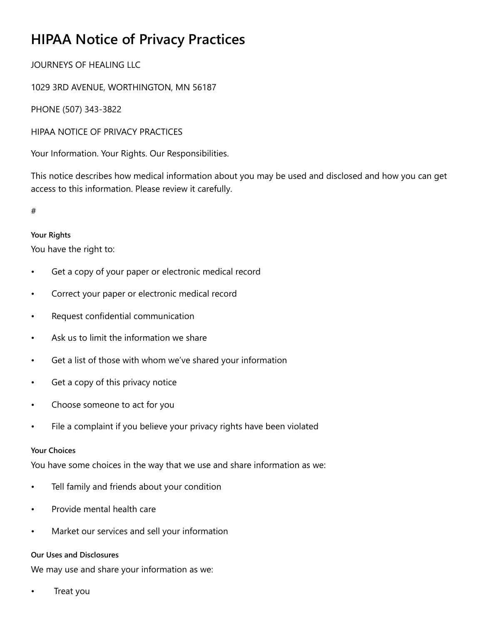# **HIPAA Notice of Privacy Practices**

JOURNEYS OF HEALING LLC

1029 3RD AVENUE, WORTHINGTON, MN 56187

PHONE (507) 343-3822

HIPAA NOTICE OF PRIVACY PRACTICES

Your Information. Your Rights. Our Responsibilities.

This notice describes how medical information about you may be used and disclosed and how you can get access to this information. Please review it carefully.

#

## **Your Rights**

You have the right to:

- Get a copy of your paper or electronic medical record
- Correct your paper or electronic medical record
- Request confidential communication
- Ask us to limit the information we share
- Get a list of those with whom we've shared your information
- Get a copy of this privacy notice
- Choose someone to act for you
- File a complaint if you believe your privacy rights have been violated

## **Your Choices**

You have some choices in the way that we use and share information as we:

- Tell family and friends about your condition
- Provide mental health care
- Market our services and sell your information

## **Our Uses and Disclosures**

We may use and share your information as we:

Treat you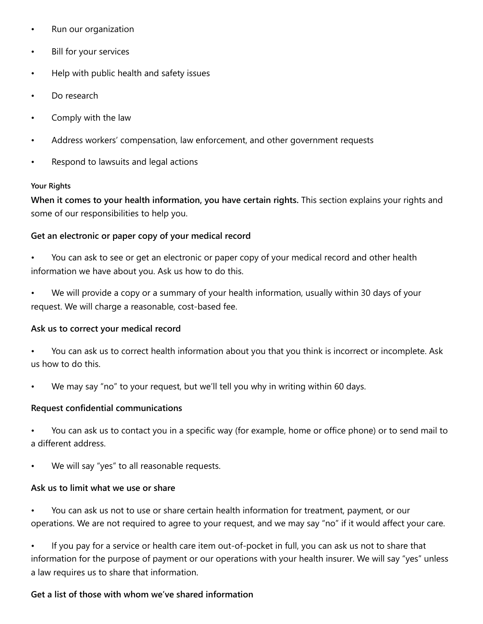- Run our organization
- Bill for your services
- Help with public health and safety issues
- Do research
- Comply with the law
- Address workers' compensation, law enforcement, and other government requests
- Respond to lawsuits and legal actions

## **Your Rights**

**When it comes to your health information, you have certain rights.** This section explains your rights and some of our responsibilities to help you.

# **Get an electronic or paper copy of your medical record**

- You can ask to see or get an electronic or paper copy of your medical record and other health information we have about you. Ask us how to do this.
- We will provide a copy or a summary of your health information, usually within 30 days of your request. We will charge a reasonable, cost-based fee.

# **Ask us to correct your medical record**

- You can ask us to correct health information about you that you think is incorrect or incomplete. Ask us how to do this.
- We may say "no" to your request, but we'll tell you why in writing within 60 days.

# **Request confidential communications**

- You can ask us to contact you in a specific way (for example, home or office phone) or to send mail to a different address.
- We will say "yes" to all reasonable requests.

# **Ask us to limit what we use or share**

• You can ask us not to use or share certain health information for treatment, payment, or our operations. We are not required to agree to your request, and we may say "no" if it would affect your care.

If you pay for a service or health care item out-of-pocket in full, you can ask us not to share that information for the purpose of payment or our operations with your health insurer. We will say "yes" unless a law requires us to share that information.

# **Get a list of those with whom we've shared information**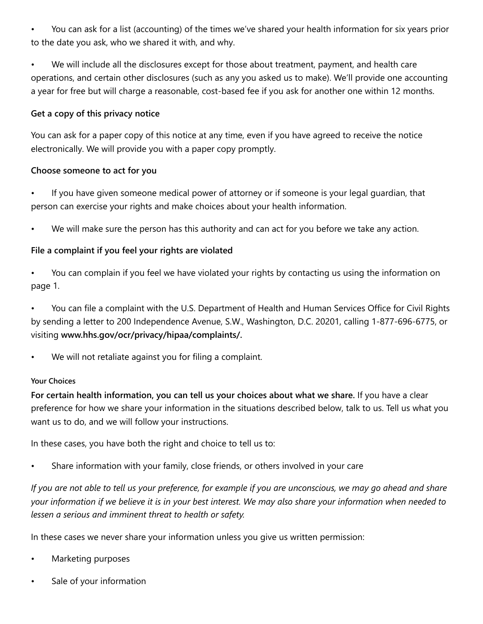• You can ask for a list (accounting) of the times we've shared your health information for six years prior to the date you ask, who we shared it with, and why.

We will include all the disclosures except for those about treatment, payment, and health care operations, and certain other disclosures (such as any you asked us to make). We'll provide one accounting a year for free but will charge a reasonable, cost-based fee if you ask for another one within 12 months.

# **Get a copy of this privacy notice**

You can ask for a paper copy of this notice at any time, even if you have agreed to receive the notice electronically. We will provide you with a paper copy promptly.

# **Choose someone to act for you**

If you have given someone medical power of attorney or if someone is your legal quardian, that person can exercise your rights and make choices about your health information.

We will make sure the person has this authority and can act for you before we take any action.

# **File a complaint if you feel your rights are violated**

• You can complain if you feel we have violated your rights by contacting us using the information on page 1.

• You can file a complaint with the U.S. Department of Health and Human Services Office for Civil Rights by sending a letter to 200 Independence Avenue, S.W., Washington, D.C. 20201, calling 1-877-696-6775, or visiting **www.hhs.gov/ocr/privacy/hipaa/complaints/.**

We will not retaliate against you for filing a complaint.

# **Your Choices**

**For certain health information, you can tell us your choices about what we share.** If you have a clear preference for how we share your information in the situations described below, talk to us. Tell us what you want us to do, and we will follow your instructions.

In these cases, you have both the right and choice to tell us to:

Share information with your family, close friends, or others involved in your care

*If you are not able to tell us your preference, for example if you are unconscious, we may go ahead and share your information if we believe it is in your best interest. We may also share your information when needed to lessen a serious and imminent threat to health or safety.*

In these cases we never share your information unless you give us written permission:

- Marketing purposes
- Sale of your information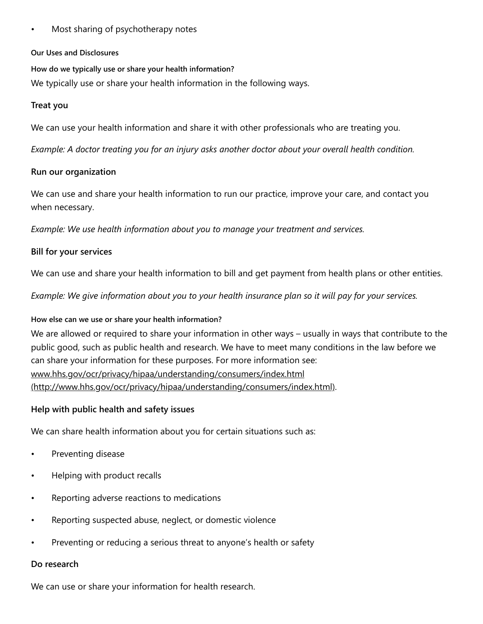Most sharing of psychotherapy notes

#### **Our Uses and Disclosures**

#### **How do we typically use or share your health information?**

We typically use or share your health information in the following ways.

## **Treat you**

We can use your health information and share it with other professionals who are treating you.

*Example: A doctor treating you for an injury asks another doctor about your overall health condition.*

## **Run our organization**

We can use and share your health information to run our practice, improve your care, and contact you when necessary.

*Example: We use health information about you to manage your treatment and services.*

## **Bill for your services**

We can use and share your health information to bill and get payment from health plans or other entities.

*Example: We give information about you to your health insurance plan so it will pay for your services.*

## **How else can we use or share your health information?**

We are allowed or required to share your information in other ways – usually in ways that contribute to the public good, such as public health and research. We have to meet many conditions in the law before we can share your information for these purposes. For more information see: www.hhs.gov/ocr/privacy/hipaa/understanding/consumers/index.html [\(http://www.hhs.gov/ocr/privacy/hipaa/understanding/consumers/index.html\)](http://www.hhs.gov/ocr/privacy/hipaa/understanding/consumers/index.html).

## **Help with public health and safety issues**

We can share health information about you for certain situations such as:

- Preventing disease
- Helping with product recalls
- Reporting adverse reactions to medications
- Reporting suspected abuse, neglect, or domestic violence
- Preventing or reducing a serious threat to anyone's health or safety

## **Do research**

We can use or share your information for health research.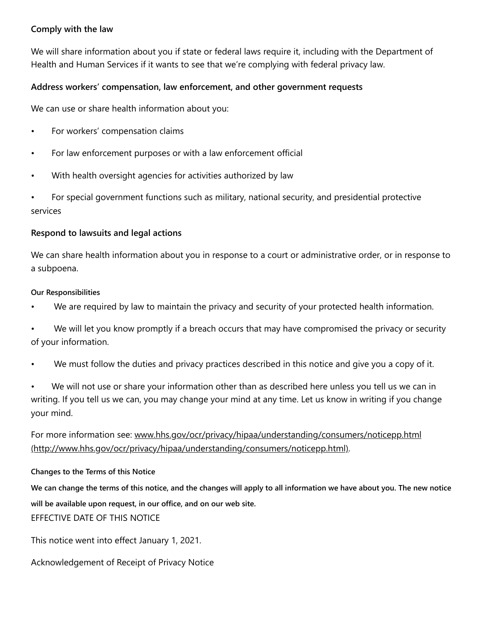# **Comply with the law**

We will share information about you if state or federal laws require it, including with the Department of Health and Human Services if it wants to see that we're complying with federal privacy law.

# **Address workers' compensation, law enforcement, and other government requests**

We can use or share health information about you:

- For workers' compensation claims
- For law enforcement purposes or with a law enforcement official
- With health oversight agencies for activities authorized by law

For special government functions such as military, national security, and presidential protective services

# **Respond to lawsuits and legal actions**

We can share health information about you in response to a court or administrative order, or in response to a subpoena.

## **Our Responsibilities**

We are required by law to maintain the privacy and security of your protected health information.

We will let you know promptly if a breach occurs that may have compromised the privacy or security of your information.

We must follow the duties and privacy practices described in this notice and give you a copy of it.

We will not use or share your information other than as described here unless you tell us we can in writing. If you tell us we can, you may change your mind at any time. Let us know in writing if you change your mind.

[For more information see: www.hhs.gov/ocr/privacy/hipaa/understanding/consumers/noticepp.html](http://www.hhs.gov/ocr/privacy/hipaa/understanding/consumers/noticepp.html) (http://www.hhs.gov/ocr/privacy/hipaa/understanding/consumers/noticepp.html).

# **Changes to the Terms of this Notice**

**We can change the terms of this notice, and the changes will apply to all information we have about you. The new notice will be available upon request, in our office, and on our web site.** EFFECTIVE DATE OF THIS NOTICE

This notice went into effect January 1, 2021.

Acknowledgement of Receipt of Privacy Notice